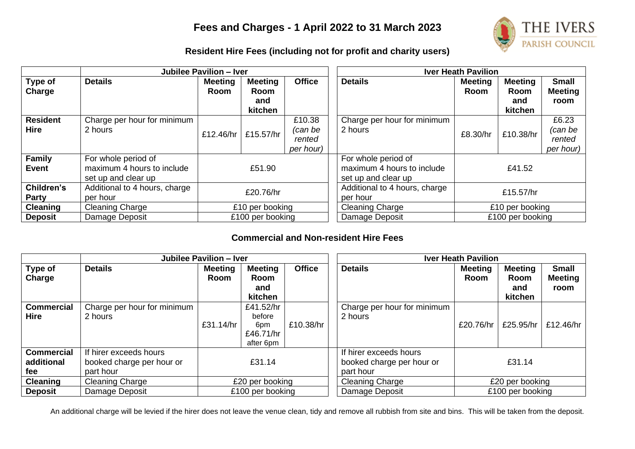# **Fees and Charges - 1 April 2022 to 31 March 2023**



## **Resident Hire Fees (including not for profit and charity users)**

|                                | <b>Jubilee Pavilion - Iver</b>                                           |                               |                                                 |                                          |                               | <b>Iver Heath Pavilion</b>                                               |                               |                                          |                                         |
|--------------------------------|--------------------------------------------------------------------------|-------------------------------|-------------------------------------------------|------------------------------------------|-------------------------------|--------------------------------------------------------------------------|-------------------------------|------------------------------------------|-----------------------------------------|
| Type of<br>Charge              | <b>Details</b>                                                           | <b>Meeting</b><br><b>Room</b> | <b>Meeting</b><br><b>Room</b><br>and<br>kitchen | <b>Office</b>                            | <b>Details</b>                |                                                                          | <b>Meeting</b><br><b>Room</b> | <b>Meeting</b><br>Room<br>and<br>kitchen | <b>Small</b><br><b>Meeting</b><br>room  |
| <b>Resident</b><br><b>Hire</b> | Charge per hour for minimum<br>2 hours                                   | £12.46/hr                     | £15.57/hr                                       | £10.38<br>(can be<br>rented<br>per hour) | 2 hours                       | Charge per hour for minimum                                              | £8.30/hr                      | £10.38/hr                                | £6.23<br>(can be<br>rented<br>per hour) |
| <b>Family</b><br><b>Event</b>  | For whole period of<br>maximum 4 hours to include<br>set up and clear up | £51.90                        |                                                 |                                          |                               | For whole period of<br>maximum 4 hours to include<br>set up and clear up | £41.52                        |                                          |                                         |
| Children's<br>Party            | Additional to 4 hours, charge<br>per hour                                | £20.76/hr                     |                                                 | per hour                                 | Additional to 4 hours, charge | £15.57/hr                                                                |                               |                                          |                                         |
| <b>Cleaning</b>                | Cleaning Charge                                                          | £10 per booking               |                                                 |                                          |                               | <b>Cleaning Charge</b>                                                   | £10 per booking               |                                          |                                         |
| <b>Deposit</b>                 | Damage Deposit                                                           | £100 per booking              |                                                 |                                          | Damage Deposit                | £100 per booking                                                         |                               |                                          |                                         |

### **Commercial and Non-resident Hire Fees**

|                   | Jubilee Pavilion - Iver     |                  |                |               |                           | <b>Iver Heath Pavilion</b>  |                |                  |                        |
|-------------------|-----------------------------|------------------|----------------|---------------|---------------------------|-----------------------------|----------------|------------------|------------------------|
| Type of           | <b>Details</b>              | <b>Meeting</b>   | <b>Meeting</b> | <b>Office</b> |                           | <b>Details</b>              | <b>Meeting</b> | <b>Meeting</b>   | <b>Small</b>           |
| Charge            |                             | <b>Room</b>      | Room<br>and    |               |                           |                             | Room           | Room<br>and      | <b>Meeting</b><br>room |
|                   |                             |                  | kitchen        |               |                           |                             |                | kitchen          |                        |
| <b>Commercial</b> | Charge per hour for minimum |                  | £41.52/hr      |               |                           | Charge per hour for minimum |                |                  |                        |
| <b>Hire</b>       | 2 hours                     |                  | before         |               |                           | 2 hours                     |                |                  |                        |
|                   |                             | £31.14/hr        | 6pm            | £10.38/hr     |                           |                             | £20.76/hr      | £25.95/hr        | £12.46/hr              |
|                   |                             |                  | £46.71/hr      |               |                           |                             |                |                  |                        |
|                   |                             |                  | after 6pm      |               |                           |                             |                |                  |                        |
| <b>Commercial</b> | If hirer exceeds hours      |                  |                |               | If hirer exceeds hours    |                             |                |                  |                        |
| additional        | booked charge per hour or   | £31.14           |                |               | booked charge per hour or | £31.14                      |                |                  |                        |
| fee               | part hour                   |                  |                |               | part hour                 |                             |                |                  |                        |
| <b>Cleaning</b>   | <b>Cleaning Charge</b>      | £20 per booking  |                |               |                           | <b>Cleaning Charge</b>      |                | £20 per booking  |                        |
| <b>Deposit</b>    | Damage Deposit              | £100 per booking |                |               |                           | Damage Deposit              |                | £100 per booking |                        |

An additional charge will be levied if the hirer does not leave the venue clean, tidy and remove all rubbish from site and bins. This will be taken from the deposit.